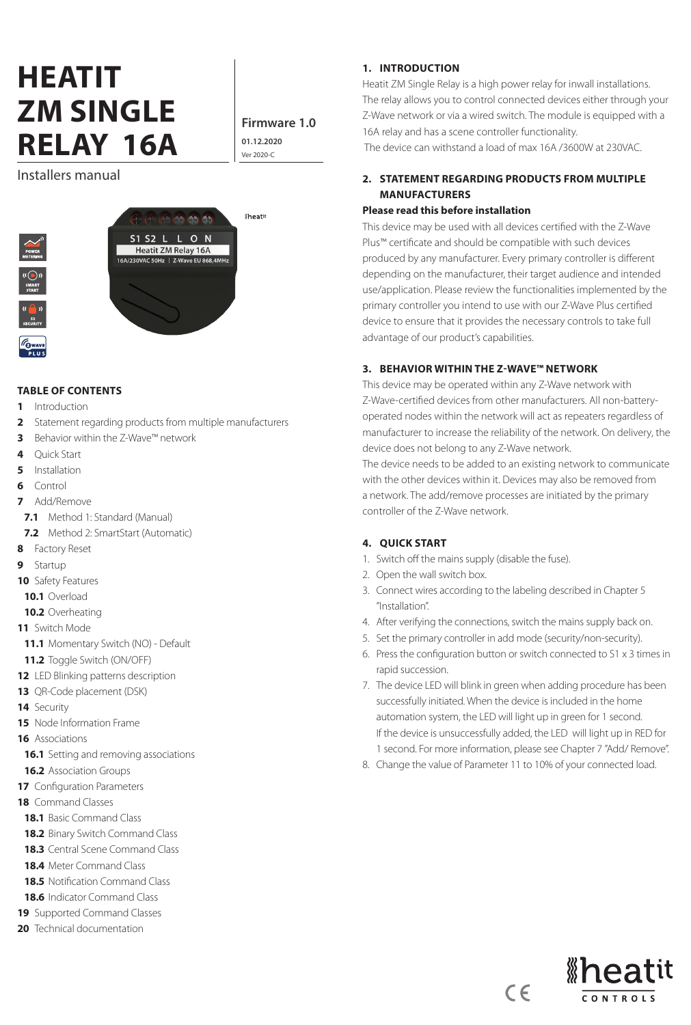# **HEATIT ZM SINGLE RELAY 16A**  $\frac{0.112.202}{\text{Ver2020-c}}$

**Firmware 1.0 01.12.2020**

### Installers manual





#### **TABLE OF CONTENTS**

- **1** Introduction
- **2** Statement regarding products from multiple manufacturers
- **3** Behavior within the Z-Wave™ network
- **4** Quick Start
- **5** Installation
- **6** Control
- **7** Add/Remove
- **7.1** Method 1: Standard (Manual)
- **7.2** Method 2: SmartStart (Automatic)
- **8** Factory Reset
- **9** Startup
- **10** Safety Features
- **10.1** Overload
- **10.2** Overheating
- **11** Switch Mode
- **11.1** Momentary Switch (NO) Default
- **11.2** Toggle Switch (ON/OFF)
- **12** LED Blinking patterns description
- **13** QR-Code placement (DSK)
- **14** Security
- **15** Node Information Frame
- **16** Associations
- **16.1** Setting and removing associations
- **16.2** Association Groups
- **17** Configuration Parameters
- **18** Command Classes
- **18.1** Basic Command Class
- **18.2** Binary Switch Command Class
- **18.3** Central Scene Command Class
- **18.4** Meter Command Class
- **18.5** Notification Command Class
- **18.6** Indicator Command Class
- **19** Supported Command Classes
- **20** Technical documentation

#### **1. INTRODUCTION**

Heatit ZM Single Relay is a high power relay for inwall installations. The relay allows you to control connected devices either through your Z-Wave network or via a wired switch. The module is equipped with a 16A relay and has a scene controller functionality.

The device can withstand a load of max 16A /3600W at 230VAC.

### **2. STATEMENT REGARDING PRODUCTS FROM MULTIPLE MANUFACTURERS**

### **Please read this before installation**

This device may be used with all devices certified with the Z-Wave Plus™ certificate and should be compatible with such devices produced by any manufacturer. Every primary controller is different depending on the manufacturer, their target audience and intended use/application. Please review the functionalities implemented by the primary controller you intend to use with our Z-Wave Plus certified device to ensure that it provides the necessary controls to take full advantage of our product's capabilities.

#### **3. BEHAVIOR WITHIN THE Z-WAVE™ NETWORK**

This device may be operated within any Z-Wave network with Z-Wave-certified devices from other manufacturers. All non-batteryoperated nodes within the network will act as repeaters regardless of manufacturer to increase the reliability of the network. On delivery, the device does not belong to any Z-Wave network.

The device needs to be added to an existing network to communicate with the other devices within it. Devices may also be removed from a network. The add/remove processes are initiated by the primary controller of the Z-Wave network.

### **4. QUICK START**

- 1. Switch off the mains supply (disable the fuse).
- 2. Open the wall switch box.
- 3. Connect wires according to the labeling described in Chapter 5 "Installation".
- 4. After verifying the connections, switch the mains supply back on.
- 5. Set the primary controller in add mode (security/non-security).
- 6. Press the configuration button or switch connected to S1 x 3 times in rapid succession.
- 7. The device LED will blink in green when adding procedure has been successfully initiated. When the device is included in the home automation system, the LED will light up in green for 1 second. If the device is unsuccessfully added, the LED will light up in RED for 1 second. For more information, please see Chapter 7 "Add/ Remove".
- 8. Change the value of Parameter 11 to 10% of your connected load.

 $C \in$ 

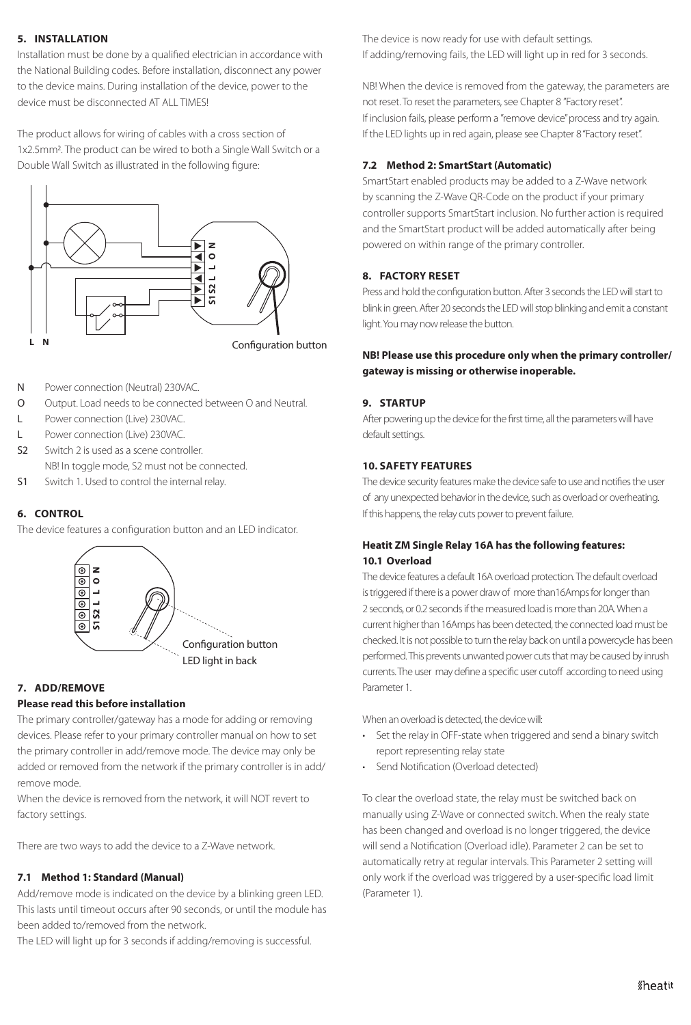### **5. INSTALLATION**

Installation must be done by a qualified electrician in accordance with the National Building codes. Before installation, disconnect any power to the device mains. During installation of the device, power to the device must be disconnected AT ALL TIMES!

The product allows for wiring of cables with a cross section of 1x2.5mm2. The product can be wired to both a Single Wall Switch or a Double Wall Switch as illustrated in the following figure:



- N Power connection (Neutral) 230VAC.
- O Output. Load needs to be connected between O and Neutral.
- L Power connection (Live) 230VAC.
- L Power connection (Live) 230VAC.
- S2 Switch 2 is used as a scene controller. NB! In toggle mode, S2 must not be connected.
- S1 Switch 1. Used to control the internal relay.

#### **6. CONTROL**

The device features a configuration button and an LED indicator.



### **7. ADD/REMOVE**

### **Please read this before installation**

The primary controller/gateway has a mode for adding or removing devices. Please refer to your primary controller manual on how to set the primary controller in add/remove mode. The device may only be added or removed from the network if the primary controller is in add/ remove mode.

When the device is removed from the network, it will NOT revert to factory settings.

There are two ways to add the device to a Z-Wave network.

### **7.1 Method 1: Standard (Manual)**

Add/remove mode is indicated on the device by a blinking green LED. This lasts until timeout occurs after 90 seconds, or until the module has been added to/removed from the network.

The LED will light up for 3 seconds if adding/removing is successful.

The device is now ready for use with default settings. If adding/removing fails, the LED will light up in red for 3 seconds.

NB! When the device is removed from the gateway, the parameters are not reset. To reset the parameters, see Chapter 8 "Factory reset". If inclusion fails, please perform a "remove device" process and try again. If the LED lights up in red again, please see Chapter 8 "Factory reset".

### **7.2 Method 2: SmartStart (Automatic)**

SmartStart enabled products may be added to a Z-Wave network by scanning the Z-Wave QR-Code on the product if your primary controller supports SmartStart inclusion. No further action is required and the SmartStart product will be added automatically after being powered on within range of the primary controller.

### **8. FACTORY RESET**

Press and hold the configuration button. After 3 seconds the LED will start to blink in green. After 20 seconds the LED will stop blinking and emit a constant light. You may now release the button.

### **NB! Please use this procedure only when the primary controller/ gateway is missing or otherwise inoperable.**

### **9. STARTUP**

After powering up the device for the first time, all the parameters will have default settings.

#### **10. SAFETY FEATURES**

The device security features make the device safe to use and notifies the user of any unexpected behavior in the device, such as overload or overheating. If this happens, the relay cuts power to prevent failure.

### **Heatit ZM Single Relay 16A has the following features: 10.1 Overload**

The device features a default 16A overload protection. The default overload is triggered if there is a power draw of more than16Amps for longer than 2 seconds, or 0.2 seconds if the measured load is more than 20A. When a current higher than 16Amps has been detected, the connected load must be checked. It is not possible to turn the relay back on until a powercycle has been performed. This prevents unwanted power cuts that may be caused by inrush currents. The user may define a specific user cutoff according to need using Parameter 1.

When an overload is detected, the device will:

- Set the relay in OFF-state when triggered and send a binary switch report representing relay state
- Send Notification (Overload detected)

To clear the overload state, the relay must be switched back on manually using Z-Wave or connected switch. When the realy state has been changed and overload is no longer triggered, the device will send a Notification (Overload idle). Parameter 2 can be set to automatically retry at regular intervals. This Parameter 2 setting will only work if the overload was triggered by a user-specific load limit (Parameter 1).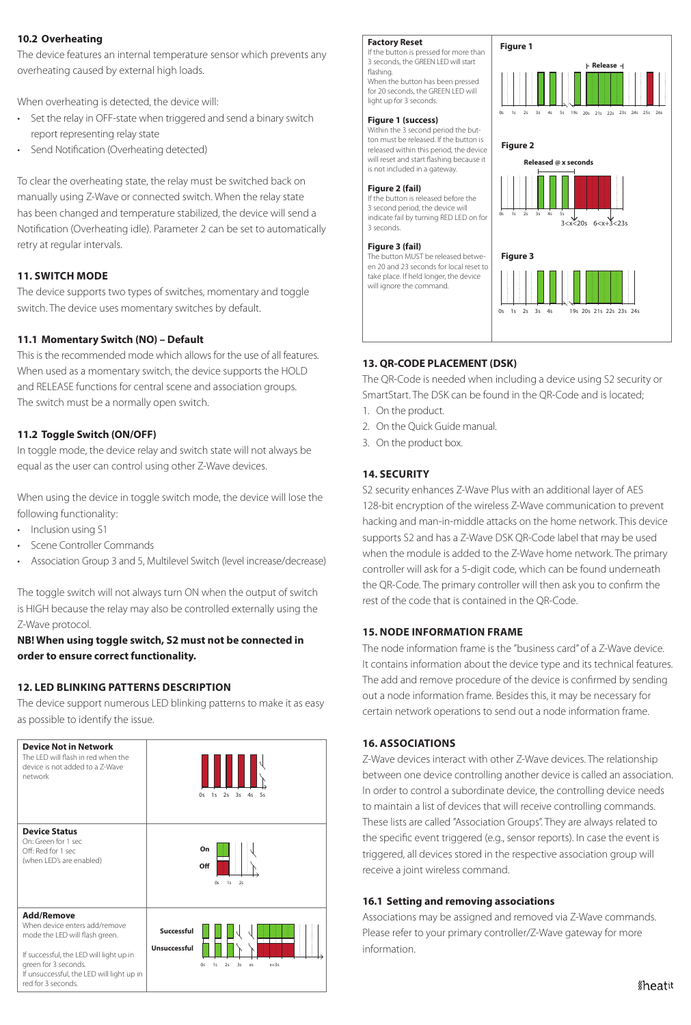#### **10.2 Overheating**

The device features an internal temperature sensor which prevents any overheating caused by external high loads.

When overheating is detected, the device will:

- Set the relay in OFF-state when triggered and send a binary switch report representing relay state
- Send Notification (Overheating detected)

To clear the overheating state, the relay must be switched back on manually using Z-Wave or connected switch. When the relay state has been changed and temperature stabilized, the device will send a Notification (Overheating idle). Parameter 2 can be set to automatically retry at regular intervals.

### **11. SWITCH MODE**

The device supports two types of switches, momentary and toggle switch. The device uses momentary switches by default.

#### **11.1 Momentary Switch (NO) – Default**

This is the recommended mode which allows for the use of all features. When used as a momentary switch, the device supports the HOLD and RELEASE functions for central scene and association groups. The switch must be a normally open switch.

### **11.2 Toggle Switch (ON/OFF)**

In toggle mode, the device relay and switch state will not always be equal as the user can control using other Z-Wave devices.

When using the device in toggle switch mode, the device will lose the following functionality:

• Inclusion using S1

- Scene Controller Commands
- Association Group 3 and 5, Multilevel Switch (level increase/decrease)

The toggle switch will not always turn ON when the output of switch is HIGH because the relay may also be controlled externally using the Z-Wave protocol.

### **NB! When using toggle switch, S2 must not be connected in order to ensure correct functionality.**

#### **12. LED BLINKING PATTERNS DESCRIPTION**

The device support numerous LED blinking patterns to make it as easy as possible to identify the issue.



#### **Factory Reset**

If the button is pressed for more than 3 seconds, the GREEN LED will start flashing. When the button has been pressed for 20 seconds, the GREEN LED will light up for 3 seconds.

#### **Figure 1 (success)**

Within the 3 second period the button must be released. If the button is released within this period, the device will reset and start flashing because it is not included in a gateway.

#### **Figure 2 (fail)**

If the button is released before the 3 second period, the device will indicate fail by turning RED LED on for 3 seconds.

#### **Figure 3 (fail)**

The button MUST be released between 20 and 23 seconds for local reset to take place. If held longer, the device will ignore the command.



### **13. QR-CODE PLACEMENT (DSK)**

The QR-Code is needed when including a device using S2 security or SmartStart. The DSK can be found in the QR-Code and is located;

- 1. On the product.
- 2. On the Quick Guide manual.
- 3. On the product box.

#### **14. SECURITY**

S2 security enhances Z-Wave Plus with an additional layer of AES 128-bit encryption of the wireless Z-Wave communication to prevent hacking and man-in-middle attacks on the home network. This device supports S2 and has a Z-Wave DSK QR-Code label that may be used when the module is added to the Z-Wave home network. The primary controller will ask for a 5-digit code, which can be found underneath the QR-Code. The primary controller will then ask you to confirm the rest of the code that is contained in the QR-Code.

### **15. NODE INFORMATION FRAME**

The node information frame is the "business card" of a Z-Wave device. It contains information about the device type and its technical features. The add and remove procedure of the device is confirmed by sending out a node information frame. Besides this, it may be necessary for certain network operations to send out a node information frame.

#### **16. ASSOCIATIONS**

Z-Wave devices interact with other Z-Wave devices. The relationship between one device controlling another device is called an association. In order to control a subordinate device, the controlling device needs to maintain a list of devices that will receive controlling commands. These lists are called "Association Groups". They are always related to the specific event triggered (e.g., sensor reports). In case the event is triggered, all devices stored in the respective association group will receive a joint wireless command.

#### **16.1 Setting and removing associations**

Associations may be assigned and removed via Z-Wave commands. Please refer to your primary controller/Z-Wave gateway for more information.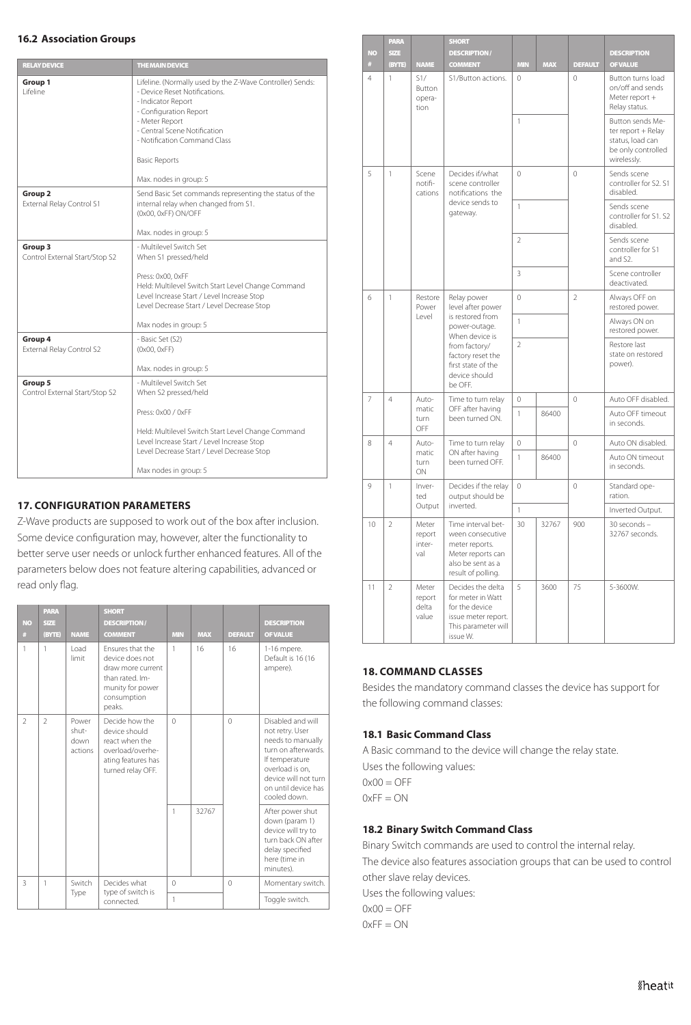#### **16.2 Association Groups**

| <b>RELAY DEVICE</b>                             | THE MAIN DEVICE                                                                                                                                                                                                                                                                |
|-------------------------------------------------|--------------------------------------------------------------------------------------------------------------------------------------------------------------------------------------------------------------------------------------------------------------------------------|
| Group 1<br>I ifeline                            | Lifeline. (Normally used by the Z-Wave Controller) Sends:<br>- Device Reset Notifications.<br>- Indicator Report<br>- Configuration Report<br>- Meter Report<br>- Central Scene Notification<br>- Notification Command Class<br><b>Basic Reports</b><br>Max. nodes in group: 5 |
| Group <sub>2</sub><br>External Relay Control S1 | Send Basic Set commands representing the status of the<br>internal relay when changed from S1.<br>(0x00, 0xFF) ON/OFF<br>Max. nodes in group: 5                                                                                                                                |
| Group 3<br>Control External Start/Stop S2       | - Multilevel Switch Set<br>When S1 pressed/held<br>Press: 0x00, 0xFF<br>Held: Multilevel Switch Start Level Change Command<br>Level Increase Start / Level Increase Stop<br>Level Decrease Start / Level Decrease Stop<br>Max nodes in group: 5                                |
| Group 4<br>External Relay Control S2            | - Basic Set (S2)<br>(0x00, 0xFF)<br>Max. nodes in group: 5                                                                                                                                                                                                                     |
| Group 5<br>Control External Start/Stop S2       | - Multilevel Switch Set<br>When S2 pressed/held<br>Press: 0x00 / 0xFF<br>Held: Multilevel Switch Start Level Change Command<br>Level Increase Start / Level Increase Stop<br>Level Decrease Start / Level Decrease Stop<br>Max nodes in group: 5                               |

### **17. CONFIGURATION PARAMETERS**

Z-Wave products are supposed to work out of the box after inclusion. Some device configuration may, however, alter the functionality to better serve user needs or unlock further enhanced features. All of the parameters below does not feature altering capabilities, advanced or read only flag.

| <b>NO</b><br># | <b>PARA</b><br><b>SHORT</b><br><b>DESCRIPTION/</b><br>SIZE<br><b>NAME</b><br><b>COMMENT</b><br>(BYTE) |                                   | <b>MIN</b>                                                                                                               | <b>MAX</b> | <b>DEFAULT</b> | <b>DESCRIPTION</b><br><b>OF VALUE</b>                                                                                           |                                                                                                                                                                                       |
|----------------|-------------------------------------------------------------------------------------------------------|-----------------------------------|--------------------------------------------------------------------------------------------------------------------------|------------|----------------|---------------------------------------------------------------------------------------------------------------------------------|---------------------------------------------------------------------------------------------------------------------------------------------------------------------------------------|
| 1              | 1                                                                                                     | Load<br>limit                     | Ensures that the<br>device does not<br>draw more current<br>than rated. Im-<br>munity for power<br>consumption<br>peaks. | 1          | 16             | 16                                                                                                                              | 1-16 mpere.<br>Default is 16 (16<br>ampere).                                                                                                                                          |
| $\overline{2}$ | $\mathfrak{D}$                                                                                        | Power<br>shut-<br>down<br>actions | Decide how the<br>device should<br>react when the<br>overload/overhe-<br>ating features has<br>turned relay OFF.         | $\Omega$   |                | $\theta$                                                                                                                        | Disabled and will<br>not retry. User<br>needs to manually<br>turn on afterwards.<br>If temperature<br>overload is on.<br>device will not turn.<br>on until device has<br>cooled down. |
|                |                                                                                                       |                                   | 1                                                                                                                        | 32767      |                | After power shut<br>down (param 1)<br>device will try to<br>turn back ON after<br>delay specified<br>here (time in<br>minutes). |                                                                                                                                                                                       |
| 3              | $\mathbf{1}$                                                                                          | Switch<br>Type                    | Decides what<br>type of switch is                                                                                        | $\Omega$   |                | $\Omega$                                                                                                                        | Momentary switch.                                                                                                                                                                     |
|                |                                                                                                       |                                   | connected.                                                                                                               | 1          |                |                                                                                                                                 | Toggle switch.                                                                                                                                                                        |

| <b>NO</b><br># | PARA<br><b>SIZE</b><br>(BYTE) | <b>NAME</b>                       | <b>SHORT</b><br><b>DESCRIPTION/</b><br><b>COMMENT</b>                                                                    | MIN                   | <b>MAX</b> | <b>DEFAULT</b>                  | <b>DESCRIPTION</b><br><b>OF VALUE</b>                                                           |
|----------------|-------------------------------|-----------------------------------|--------------------------------------------------------------------------------------------------------------------------|-----------------------|------------|---------------------------------|-------------------------------------------------------------------------------------------------|
| $\overline{4}$ | 1                             | S1/<br>Button<br>opera-<br>tion   | S1/Button actions.                                                                                                       | $\circ$               |            | $\mathbf 0$                     | Button turns load<br>on/off and sends<br>Meter report +<br>Relay status.                        |
|                |                               |                                   |                                                                                                                          | 1                     |            |                                 | Button sends Me-<br>ter report + Relay<br>status, load can<br>be only controlled<br>wirelessly. |
| 5              | $\mathbf{1}$                  | Scene<br>notifi-<br>cations       | Decides if/what<br>scene controller<br>notifications the                                                                 | $\Omega$              |            | $\Omega$                        | Sends scene<br>controller for S2, S1<br>disabled.                                               |
|                |                               |                                   | device sends to<br>gateway.                                                                                              | $\mathbf{1}$          |            |                                 | Sends scene<br>controller for S1. S2<br>disabled.                                               |
|                |                               |                                   |                                                                                                                          | $\overline{2}$        |            |                                 | Sends scene<br>controller for S1<br>and S2.                                                     |
|                |                               |                                   |                                                                                                                          | 3                     |            |                                 | Scene controller<br>deactivated.                                                                |
| 6              | $\mathbf{1}$                  | Restore<br>Power                  | Relay power<br>level after power                                                                                         | $\mathbf 0$           |            | $\overline{2}$                  | Always OFF on<br>restored power.                                                                |
|                |                               | Level                             | power-outage.<br>When device is                                                                                          | is restored from<br>1 |            | Always ON on<br>restored power. |                                                                                                 |
|                |                               |                                   | from factory/<br>factory reset the<br>first state of the<br>device should<br>be OFF.                                     | $\overline{2}$        |            |                                 | Restore last<br>state on restored<br>power).                                                    |
| $\overline{7}$ | 4                             | Auto-                             | Time to turn relay                                                                                                       | 0                     |            | $\mathbf 0$                     | Auto OFF disabled.                                                                              |
|                |                               | matic<br>turn<br>OFF              | OFF after having<br>been turned ON.                                                                                      | 1                     | 86400      |                                 | Auto OFF timeout<br>in seconds.                                                                 |
| 8              | $\overline{4}$                | Auto-                             | Time to turn relay                                                                                                       | $\Omega$              |            | $\theta$                        | Auto ON disabled.                                                                               |
|                |                               | matic<br>turn<br>ON               | ON after having<br>been turned OFF.                                                                                      | 1                     | 86400      |                                 | Auto ON timeout<br>in seconds.                                                                  |
| 9              | 1                             | Inver-<br>ted                     | Decides if the relay<br>output should be                                                                                 | 0                     |            | $\mathbf 0$                     | Standard ope-<br>ration.                                                                        |
|                |                               | Output                            | inverted.                                                                                                                | $\mathbf{1}$          |            |                                 | Inverted Output.                                                                                |
| 10             | $\overline{2}$                | Meter<br>report<br>inter-<br>val  | Time interval bet-<br>ween consecutive<br>meter reports.<br>Meter reports can<br>also be sent as a<br>result of polling. | 30                    | 32767      | 900                             | 30 seconds -<br>32767 seconds.                                                                  |
| 11             | $\overline{2}$                | Meter<br>report<br>delta<br>value | Decides the delta<br>for meter in Watt<br>for the device<br>issue meter report.<br>This parameter will<br>issue W.       | 5                     | 3600       | 75                              | 5-3600W.                                                                                        |

#### **18. COMMAND CLASSES**

Besides the mandatory command classes the device has support for the following command classes:

#### **18.1 Basic Command Class**

A Basic command to the device will change the relay state. Uses the following values:  $0x00 = OFF$ 

 $0xFF = ON$ 

#### **18.2 Binary Switch Command Class**

Binary Switch commands are used to control the internal relay. The device also features association groups that can be used to control other slave relay devices.

Uses the following values:

 $0x00 = OFF$ 

 $0xFF = ON$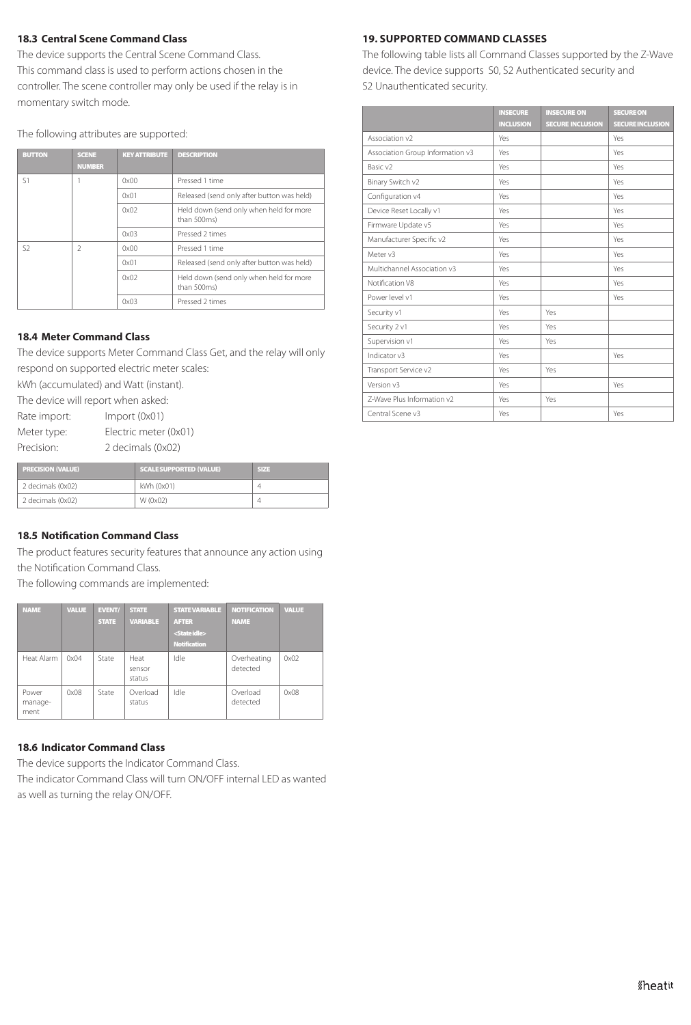#### **18.3 Central Scene Command Class**

The device supports the Central Scene Command Class. This command class is used to perform actions chosen in the controller. The scene controller may only be used if the relay is in momentary switch mode.

The following attributes are supported:

| <b>BUTTON</b>  | <b>SCENE</b><br><b>NUMBER</b> | <b>KEY ATTRIBUTE</b> | <b>DESCRIPTION</b>                                     |
|----------------|-------------------------------|----------------------|--------------------------------------------------------|
| S <sub>1</sub> |                               | 0x00                 | Pressed 1 time                                         |
|                | 0x01                          |                      | Released (send only after button was held)             |
|                |                               | 0x02                 | Held down (send only when held for more<br>than 500ms) |
|                |                               | 0x03                 | Pressed 2 times                                        |
| S <sub>2</sub> | $\mathfrak{D}$                | 0x00                 | Pressed 1 time                                         |
|                |                               | 0x01                 | Released (send only after button was held)             |
|                |                               | 0x02                 | Held down (send only when held for more<br>than 500ms) |
|                |                               | 0x03                 | Pressed 2 times                                        |

#### **18.4 Meter Command Class**

The device supports Meter Command Class Get, and the relay will only respond on supported electric meter scales:

kWh (accumulated) and Watt (instant).

The device will report when asked:

Rate import: Import (0x01) Meter type: Electric meter (0x01) Precision: 2 decimals (0x02)

**PRECISION (VALUE)** SCALE SUPPORTED (VALUE)

|                   |            | ----- |
|-------------------|------------|-------|
| 2 decimals (0x02) | kWh (0x01) |       |
| 2 decimals (0x02) | W (0x02)   |       |
|                   |            |       |

#### **18.5 Notification Command Class**

The product features security features that announce any action using the Notification Command Class.

The following commands are implemented:

| <b>NAME</b>              | <b>VALUE</b> | <b>EVENT/</b><br><b>STATE</b> | <b>STATE</b><br><b>VARIABLE</b> | <b>STATE VARIABLE</b><br><b>AFTER</b><br><state idle=""><br/><b>Notification</b></state> | <b>NOTIFICATION</b><br><b>NAME</b> | <b>VALUE</b> |
|--------------------------|--------------|-------------------------------|---------------------------------|------------------------------------------------------------------------------------------|------------------------------------|--------------|
| Heat Alarm               | 0x04         | State                         | Heat<br>sensor<br>status        | Idle                                                                                     | Overheating<br>detected            | 0x02         |
| Power<br>manage-<br>ment | 0x08         | State                         | Overload<br>status              | Idle                                                                                     | Overload<br>detected               | 0x08         |

#### **18.6 Indicator Command Class**

The device supports the Indicator Command Class. The indicator Command Class will turn ON/OFF internal LED as wanted

as well as turning the relay ON/OFF.

### **19. SUPPORTED COMMAND CLASSES**

The following table lists all Command Classes supported by the Z-Wave device. The device supports S0, S2 Authenticated security and S2 Unauthenticated security.

|                                  | <b>INSECURE</b>  | <b>INSECURE ON</b>      | <b>SECURE ON</b>        |
|----------------------------------|------------------|-------------------------|-------------------------|
|                                  | <b>INCLUSION</b> | <b>SECURE INCLUSION</b> | <b>SECURE INCLUSION</b> |
| Association v2                   | Yes              |                         | Yes                     |
| Association Group Information v3 | Yes              |                         | Yes                     |
| Basic v2                         | Yes              |                         | Yes                     |
| Binary Switch v2                 | Yes              |                         | Yes                     |
| Configuration v4                 | Yes              |                         | Yes                     |
| Device Reset Locally v1          | Yes              |                         | Yes                     |
| Firmware Update v5               | Yes              |                         | Yes                     |
| Manufacturer Specific v2         | Yes              |                         | Yes                     |
| Meter v3                         | Yes              |                         | Yes                     |
| Multichannel Association v3      | Yes              |                         | Yes                     |
| Notification V8                  | Yes              |                         | Yes                     |
| Power level v1                   | Yes              |                         | Yes                     |
| Security v1                      | Yes              | Yes                     |                         |
| Security 2 v1                    | Yes              | Yes                     |                         |
| Supervision v1                   | Yes              | Yes                     |                         |
| Indicator v3                     | Yes              |                         | Yes                     |
| Transport Service v2             | Yes              | Yes                     |                         |
| Version v3                       | Yes              |                         | Yes                     |
| 7-Wave Plus Information v2       | Yes              | Yes                     |                         |
| Central Scene v3                 | Yes              |                         | Yes                     |